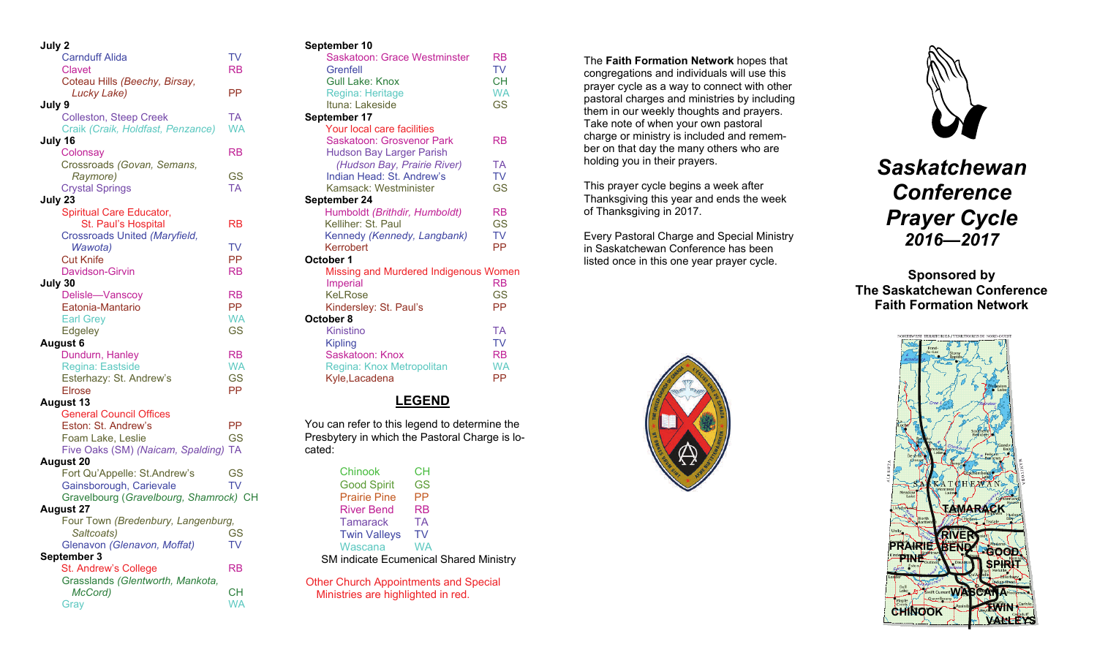| July 2                                         |           |
|------------------------------------------------|-----------|
| <b>Carnduff Alida</b>                          | TV        |
| <b>Clavet</b>                                  | RB        |
| Coteau Hills (Beechy, Birsay,                  |           |
| Lucky Lake)                                    | РP        |
| July 9                                         |           |
| <b>Colleston, Steep Creek</b>                  | TA        |
| Craik (Craik, Holdfast, Penzance)              | <b>WA</b> |
| July 16                                        |           |
| Colonsay                                       | RB        |
| Crossroads (Govan, Semans,                     |           |
| Raymore)                                       | GS        |
| <b>Crystal Springs</b>                         | <b>TA</b> |
| July 23                                        |           |
| Spiritual Care Educator,                       |           |
| St. Paul's Hospital                            | RB        |
| Crossroads United (Maryfield,                  |           |
| Wawota)                                        | TV        |
| <b>Cut Knife</b>                               | PP        |
| Davidson-Girvin                                | <b>RB</b> |
| July 30                                        |           |
| Delisle-Vanscoy                                | <b>RB</b> |
| Eatonia-Mantario                               | <b>PP</b> |
| <b>Earl Grey</b>                               | <b>WA</b> |
| Edgeley                                        | <b>GS</b> |
| August 6                                       |           |
| Dundurn, Hanley                                | <b>RB</b> |
| Regina: Eastside                               | <b>WA</b> |
| Esterhazy: St. Andrew's                        | <b>GS</b> |
| <b>Elrose</b>                                  | PP        |
| <b>August 13</b>                               |           |
| <b>General Council Offices</b>                 | <b>PP</b> |
| Eston: St. Andrew's                            |           |
| Foam Lake, Leslie                              | <b>GS</b> |
| Five Oaks (SM) (Naicam, Spalding)<br>August 20 | <b>TA</b> |
| Fort Qu'Appelle: St.Andrew's                   | GS        |
| Gainsborough, Carievale                        | <b>TV</b> |
| Gravelbourg (Gravelbourg, Shamrock) CH         |           |
| <b>August 27</b>                               |           |
| Four Town (Bredenbury, Langenburg,             |           |
| Saltcoats)                                     | <b>GS</b> |
| Glenavon (Glenavon, Moffat)                    | TV        |
| September 3                                    |           |
| St. Andrew's College                           | RB        |
| Grasslands (Glentworth, Mankota,               |           |
| McCord)                                        | CН        |
| Gray                                           | <b>WA</b> |
|                                                |           |

#### **September 10**

| Jehrennael Ia                         |           |
|---------------------------------------|-----------|
| Saskatoon: Grace Westminster          | RB        |
| Grenfell                              | TV        |
| <b>Gull Lake: Knox</b>                | <b>CH</b> |
| Regina: Heritage                      | <b>WA</b> |
| Ituna: Lakeside                       | GS        |
| September 17                          |           |
| Your local care facilities            |           |
| Saskatoon: Grosvenor Park             | RB        |
| <b>Hudson Bay Larger Parish</b>       |           |
| (Hudson Bay, Prairie River)           | <b>TA</b> |
| Indian Head: St. Andrew's             | <b>TV</b> |
| Kamsack: Westminister                 | GS        |
| September 24                          |           |
| Humboldt (Brithdir, Humboldt)         | RB        |
| Kelliher: St. Paul                    | GS        |
| Kennedy (Kennedy, Langbank)           | <b>TV</b> |
| Kerrobert                             | PP        |
|                                       |           |
| October 1                             |           |
| Missing and Murdered Indigenous Women |           |
| <b>Imperial</b>                       | <b>RB</b> |
| KeLRose                               | <b>GS</b> |
| Kindersley: St. Paul's                | РP        |
| October 8                             |           |
| Kinistino                             | ТA        |
| Kipling                               | <b>TV</b> |
| Saskatoon: Knox                       | <b>RB</b> |
| Regina: Knox Metropolitan             | <b>WA</b> |
| Kyle, Lacadena                        | РP        |
|                                       |           |

## **LEGEND**

You can refer to this legend to determine the Presbytery in which the Pastoral Charge is located:

| Chinook             | CН                                            |
|---------------------|-----------------------------------------------|
| <b>Good Spirit</b>  | GS                                            |
| <b>Prairie Pine</b> | РP                                            |
| <b>River Bend</b>   | RB                                            |
| <b>Tamarack</b>     | TA                                            |
| <b>Twin Valleys</b> | TV                                            |
| Wascana             | WA                                            |
|                     | <b>SM indicate Ecumenical Shared Ministry</b> |
|                     |                                               |

Other Church Appointments and Special Ministries are highlighted in red.

The **Faith Formation Network** hopes that congregations and individuals will use this prayer cycle as a way to connect with other pastoral charges and ministries by including them in our weekly thoughts and prayers. Take note of when your own pastoral charge or ministry is included and remember on that day the many others who are holding you in their prayers.

This prayer cycle begins a week after Thanksgiving this year and ends the week of Thanksgiving in 2017.

Every Pastoral Charge and Special Ministry in Saskatchewan Conference has been listed once in this one year prayer cycle.





*Saskatchewan Conference Prayer Cycle 2016—2017* 

**Sponsored by The Saskatchewan Conference Faith Formation Network**